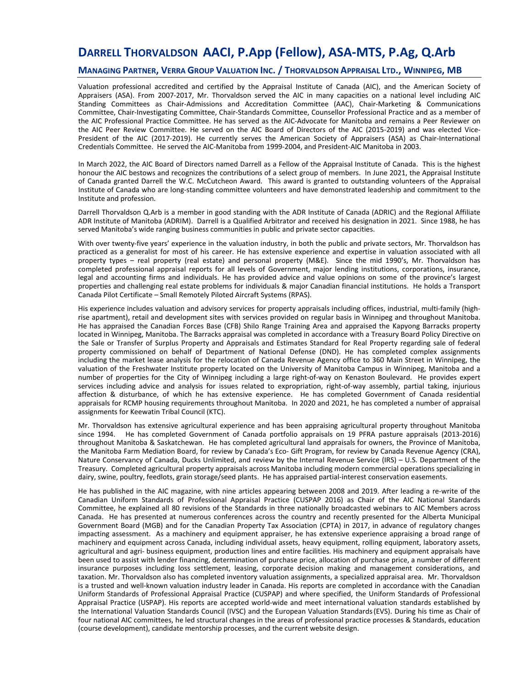# **DARRELL THORVALDSON AACI, P.App (Fellow), ASA-MTS, P.Ag, Q.Arb**

## **MANAGING PARTNER, VERRA GROUP VALUATION INC. / THORVALDSON APPRAISAL LTD., WINNIPEG, MB**

Valuation professional accredited and certified by the Appraisal Institute of Canada (AIC), and the American Society of Appraisers (ASA). From 2007-2017, Mr. Thorvaldson served the AIC in many capacities on a national level including AIC Standing Committees as Chair-Admissions and Accreditation Committee (AAC), Chair-Marketing & Communications Committee, Chair-Investigating Committee, Chair-Standards Committee, Counsellor Professional Practice and as a member of the AIC Professional Practice Committee. He has served as the AIC-Advocate for Manitoba and remains a Peer Reviewer on the AIC Peer Review Committee. He served on the AIC Board of Directors of the AIC (2015-2019) and was elected Vice-President of the AIC (2017-2019). He currently serves the American Society of Appraisers (ASA) as Chair-International Credentials Committee. He served the AIC-Manitoba from 1999-2004, and President-AIC Manitoba in 2003.

In March 2022, the AIC Board of Directors named Darrell as a Fellow of the Appraisal Institute of Canada. This is the highest honour the AIC bestows and recognizes the contributions of a select group of members. In June 2021, the Appraisal Institute of Canada granted Darrell the W.C. McCutcheon Award. This award is granted to outstanding volunteers of the Appraisal Institute of Canada who are long-standing committee volunteers and have demonstrated leadership and commitment to the Institute and profession.

Darrell Thorvaldson Q.Arb is a member in good standing with the ADR Institute of Canada (ADRIC) and the Regional Affiliate ADR Institute of Manitoba (ADRIM). Darrell is a Qualified Arbitrator and received his designation in 2021. Since 1988, he has served Manitoba's wide ranging business communities in public and private sector capacities.

With over twenty-five years' experience in the valuation industry, in both the public and private sectors, Mr. Thorvaldson has practiced as a generalist for most of his career. He has extensive experience and expertise in valuation associated with all property types – real property (real estate) and personal property (M&E). Since the mid 1990's, Mr. Thorvaldson has completed professional appraisal reports for all levels of Government, major lending institutions, corporations, insurance, legal and accounting firms and individuals. He has provided advice and value opinions on some of the province's largest properties and challenging real estate problems for individuals & major Canadian financial institutions. He holds a Transport Canada Pilot Certificate – Small Remotely Piloted Aircraft Systems (RPAS).

His experience includes valuation and advisory services for property appraisals including offices, industrial, multi-family (highrise apartment), retail and development sites with services provided on regular basis in Winnipeg and throughout Manitoba. He has appraised the Canadian Forces Base (CFB) Shilo Range Training Area and appraised the Kapyong Barracks property located in Winnipeg, Manitoba. The Barracks appraisal was completed in accordance with a Treasury Board Policy Directive on the Sale or Transfer of Surplus Property and Appraisals and Estimates Standard for Real Property regarding sale of federal property commissioned on behalf of Department of National Defense (DND). He has completed complex assignments including the market lease analysis for the relocation of Canada Revenue Agency office to 360 Main Street in Winnipeg, the valuation of the Freshwater Institute property located on the University of Manitoba Campus in Winnipeg, Manitoba and a number of properties for the City of Winnipeg including a large right-of-way on Kenaston Boulevard. He provides expert services including advice and analysis for issues related to expropriation, right-of-way assembly, partial taking, injurious affection & disturbance, of which he has extensive experience. He has completed Government of Canada residential appraisals for RCMP housing requirements throughout Manitoba. In 2020 and 2021, he has completed a number of appraisal assignments for Keewatin Tribal Council (KTC).

Mr. Thorvaldson has extensive agricultural experience and has been appraising agricultural property throughout Manitoba since 1994. He has completed Government of Canada portfolio appraisals on 19 PFRA pasture appraisals (2013-2016) throughout Manitoba & Saskatchewan. He has completed agricultural land appraisals for owners, the Province of Manitoba, the Manitoba Farm Mediation Board, for review by Canada's Eco- Gift Program, for review by Canada Revenue Agency (CRA), Nature Conservancy of Canada, Ducks Unlimited, and review by the Internal Revenue Service (IRS) – U.S. Department of the Treasury. Completed agricultural property appraisals across Manitoba including modern commercial operations specializing in dairy, swine, poultry, feedlots, grain storage/seed plants. He has appraised partial-interest conservation easements.

He has published in the AIC magazine, with nine articles appearing between 2008 and 2019. After leading a re-write of the Canadian Uniform Standards of Professional Appraisal Practice (CUSPAP 2016) as Chair of the AIC National Standards Committee, he explained all 80 revisions of the Standards in three nationally broadcasted webinars to AIC Members across Canada. He has presented at numerous conferences across the country and recently presented for the Alberta Municipal Government Board (MGB) and for the Canadian Property Tax Association (CPTA) in 2017, in advance of regulatory changes impacting assessment. As a machinery and equipment appraiser, he has extensive experience appraising a broad range of machinery and equipment across Canada, including individual assets, heavy equipment, rolling equipment, laboratory assets, agricultural and agri- business equipment, production lines and entire facilities. His machinery and equipment appraisals have been used to assist with lender financing, determination of purchase price, allocation of purchase price, a number of different insurance purposes including loss settlement, leasing, corporate decision making and management considerations, and taxation. Mr. Thorvaldson also has completed inventory valuation assignments, a specialized appraisal area. Mr. Thorvaldson is a trusted and well-known valuation industry leader in Canada. His reports are completed in accordance with the Canadian Uniform Standards of Professional Appraisal Practice (CUSPAP) and where specified, the Uniform Standards of Professional Appraisal Practice (USPAP). His reports are accepted world-wide and meet international valuation standards established by the International Valuation Standards Council (IVSC) and the European Valuation Standards(EVS). During his time as Chair of four national AIC committees, he led structural changes in the areas of professional practice processes & Standards, education (course development), candidate mentorship processes, and the current website design.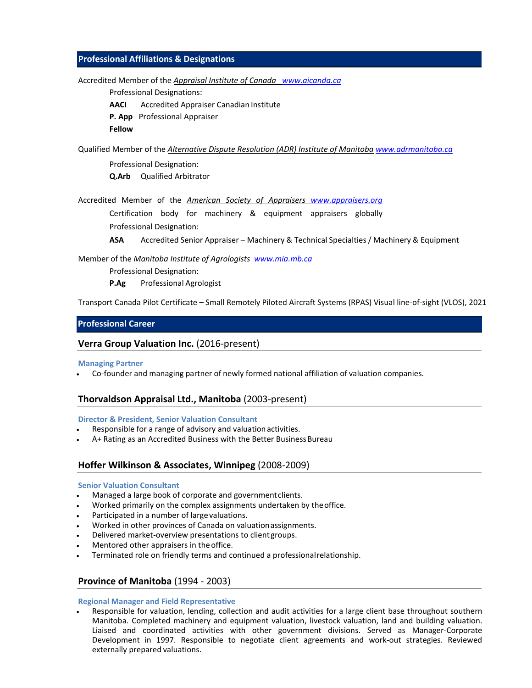# **Professional Affiliations & Designations**

Accredited Member of the *Appraisal Institute of Canada www.aicanda.ca*

Professional Designations:

**AACI** Accredited Appraiser Canadian Institute

**P. App** Professional Appraiser

**Fellow** 

Qualified Member of the *Alternative Dispute Resolution (ADR) Institute of Manitoba www.adrmanitoba.ca*

Professional Designation: **Q.Arb** Qualified Arbitrator

Accredited Member of the *American Society of Appraisers www.appraisers.org*

Certification body for machinery & equipment appraisers globally Professional Designation:

**ASA** Accredited Senior Appraiser – Machinery & Technical Specialties/ Machinery & Equipment

Member of the *Manitoba Institute of Agrologists www.mia.mb.ca*

Professional Designation:

**P.Ag** Professional Agrologist

Transport Canada Pilot Certificate – Small Remotely Piloted Aircraft Systems (RPAS) Visual line-of-sight (VLOS), 2021

# **Professional Career**

# **Verra Group Valuation Inc.** (2016-present)

## **Managing Partner**

Co-founder and managing partner of newly formed national affiliation of valuation companies.

# **Thorvaldson Appraisal Ltd., Manitoba** (2003-present)

**Director & President, Senior Valuation Consultant**

- Responsible for a range of advisory and valuation activities.
- A+ Rating as an Accredited Business with the Better Business Bureau

# **Hoffer Wilkinson & Associates, Winnipeg** (2008-2009)

## **Senior Valuation Consultant**

- Managed a large book of corporate and governmentclients.
- Worked primarily on the complex assignments undertaken by theoffice.
- Participated in a number of large valuations.
- Worked in other provinces of Canada on valuationassignments.
- Delivered market-overview presentations to clientgroups.
- Mentored other appraisers in the office.
- Terminated role on friendly terms and continued a professionalrelationship.

# **Province of Manitoba** (1994 - 2003)

**Regional Manager and Field Representative**

 Responsible for valuation, lending, collection and audit activities for a large client base throughout southern Manitoba. Completed machinery and equipment valuation, livestock valuation, land and building valuation. Liaised and coordinated activities with other government divisions. Served as Manager-Corporate Development in 1997. Responsible to negotiate client agreements and work-out strategies. Reviewed externally prepared valuations.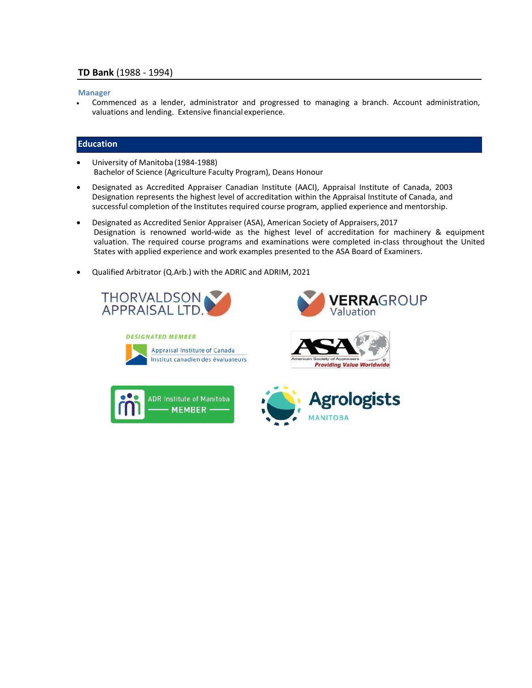### **Manager**

 Commenced as a lender, administrator and progressed to managing a branch. Account administration, valuations and lending. Extensive financialexperience.

## **Education**

- University of Manitoba (1984-1988) Bachelor of Science (Agriculture Faculty Program), Deans Honour
- Designated as Accredited Appraiser Canadian Institute (AACI), Appraisal Institute of Canada, 2003 Designation represents the highest level of accreditation within the Appraisal Institute of Canada, and successful completion of the Institutes required course program, applied experience and mentorship.
- Designated as Accredited Senior Appraiser (ASA), American Society of Appraisers,2017 Designation is renowned world-wide as the highest level of accreditation for machinery & equipment valuation. The required course programs and examinations were completed in-class throughout the United States with applied experience and work examples presented to the ASA Board of Examiners.
- Qualified Arbitrator (Q.Arb.) with the ADRIC and ADRIM, 2021











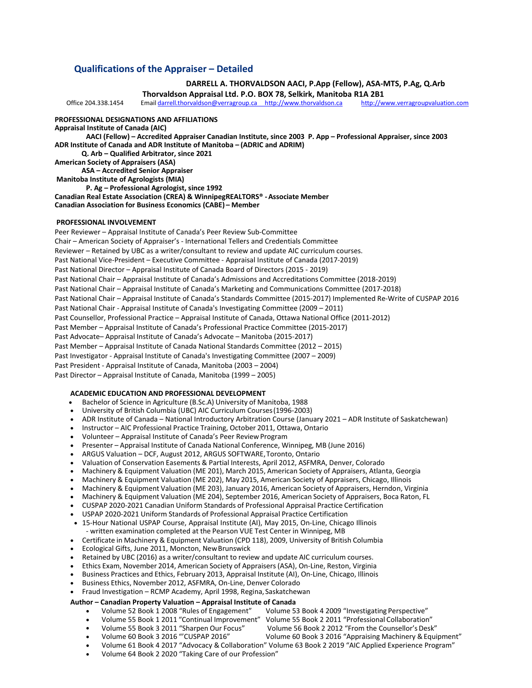# **Qualifications of the Appraiser – Detailed**

**DARRELL A. THORVALDSON AACI, P.App (Fellow), ASA-MTS, P.Ag, Q.Arb Thorvaldson Appraisal Ltd. P.O. BOX 78, Selkirk, Manitoba R1A 2B1** Office 204.338.1454 Email darrell.thorvaldson@verragroup.ca http://www.thorvaldson.ca **PROFESSIONAL DESIGNATIONS AND AFFILIATIONS Appraisal Institute of Canada (AIC) AACI (Fellow) – Accredited Appraiser Canadian Institute, since 2003 P. App – Professional Appraiser, since 2003 ADR Institute of Canada and ADR Institute of Manitoba – (ADRIC and ADRIM) Q. Arb – Qualified Arbitrator, since 2021 American Society of Appraisers (ASA) ASA – Accredited Senior Appraiser Manitoba Institute of Agrologists (MIA) P. Ag – Professional Agrologist, since 1992 Canadian Real Estate Association (CREA) & WinnipegREALTORS® -Associate Member Canadian Association for Business Economics (CABE) – Member**

#### **PROFESSIONAL INVOLVEMENT**

Peer Reviewer – Appraisal Institute of Canada's Peer Review Sub-Committee Chair – American Society of Appraiser's - International Tellers and Credentials Committee Reviewer – Retained by UBC as a writer/consultant to review and update AIC curriculum courses. Past National Vice-President – Executive Committee - Appraisal Institute of Canada (2017-2019) Past National Director – Appraisal Institute of Canada Board of Directors (2015 - 2019) Past National Chair – Appraisal Institute of Canada's Admissions and Accreditations Committee (2018-2019) Past National Chair – Appraisal Institute of Canada's Marketing and Communications Committee (2017-2018) Past National Chair – Appraisal Institute of Canada's Standards Committee (2015-2017) Implemented Re-Write of CUSPAP 2016 Past National Chair - Appraisal Institute of Canada's Investigating Committee (2009 – 2011) Past Counsellor, Professional Practice – Appraisal Institute of Canada, Ottawa National Office (2011-2012) Past Member – Appraisal Institute of Canada's Professional Practice Committee (2015-2017) Past Advocate– Appraisal Institute of Canada's Advocate – Manitoba (2015-2017) Past Member – Appraisal Institute of Canada National Standards Committee (2012 – 2015) Past Investigator - Appraisal Institute of Canada's Investigating Committee (2007 – 2009) Past President - Appraisal Institute of Canada, Manitoba (2003 – 2004) Past Director – Appraisal Institute of Canada, Manitoba (1999 – 2005)

#### **ACADEMIC EDUCATION AND PROFESSIONAL DEVELOPMENT**

- Bachelor of Science in Agriculture (B.Sc.A) University of Manitoba, 1988
- University of British Columbia (UBC) AIC Curriculum Courses(1996-2003)
- ADR Institute of Canada National Introductory Arbitration Course (January 2021 ADR Institute of Saskatchewan)
- Instructor AIC Professional Practice Training, October 2011, Ottawa, Ontario
- Volunteer Appraisal Institute of Canada's Peer ReviewProgram
- Presenter Appraisal Institute of Canada National Conference, Winnipeg, MB (June 2016)
- ARGUS Valuation DCF, August 2012, ARGUS SOFTWARE,Toronto, Ontario
- Valuation of Conservation Easements & Partial Interests, April 2012, ASFMRA, Denver, Colorado
- Machinery & Equipment Valuation (ME 201), March 2015, American Society of Appraisers, Atlanta, Georgia
- Machinery & Equipment Valuation (ME 202), May 2015, American Society of Appraisers, Chicago, Illinois
- Machinery & Equipment Valuation (ME 203), January 2016, American Society of Appraisers, Herndon, Virginia
- Machinery & Equipment Valuation (ME 204), September 2016, American Society of Appraisers, Boca Raton, FL
- CUSPAP 2020-2021 Canadian Uniform Standards of Professional Appraisal Practice Certification
- USPAP 2020-2021 Uniform Standards of Professional Appraisal Practice Certification
- 15-Hour National USPAP Course, Appraisal Institute (AI), May 2015, On-Line, Chicago Illinois - written examination completed at the Pearson VUE Test Center in Winnipeg, MB
- Certificate in Machinery & Equipment Valuation (CPD 118), 2009, University of British Columbia
- Ecological Gifts, June 2011, Moncton, NewBrunswick
- Retained by UBC (2016) as a writer/consultant to review and update AIC curriculum courses.
- Ethics Exam, November 2014, American Society of Appraisers (ASA), On-Line, Reston, Virginia
- Business Practices and Ethics, February 2013, Appraisal Institute (AI), On-Line, Chicago, Illinois
- Business Ethics, November 2012, ASFMRA, On-Line, Denver Colorado
- Fraud Investigation RCMP Academy, April 1998, Regina, Saskatchewan

# **Author – Canadian Property Valuation – Appraisal Institute of Canada**

- Volume 52 Book 1 2008 "Rules of Engagement"
- Volume 55 Book 1 2011 "Continual Improvement" Volume 55 Book 2 2011 "Professional Collaboration"
	-
	- Volume 55 Book 3 2011 "Sharpen Our Focus" Volume 56 Book 2 2012 "From the Counsellor's Desk"
		- Volume 60 Book 3 2016 "Appraising Machinery & Equipment"
	- Volume 61 Book 4 2017 "Advocacy & Collaboration" Volume 63 Book 2 2019 "AIC Applied Experience Program"
- Volume 64 Book 2 2020 "Taking Care of our Profession"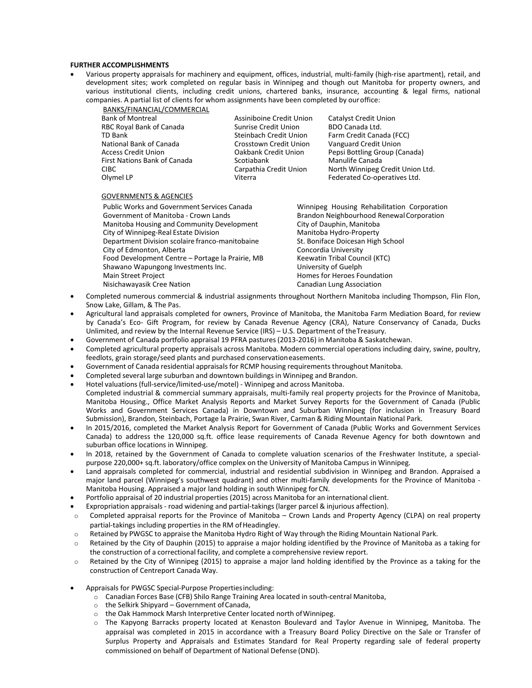#### **FURTHER ACCOMPLISHMENTS**

 Various property appraisals for machinery and equipment, offices, industrial, multi-family (high-rise apartment), retail, and development sites; work completed on regular basis in Winnipeg and though out Manitoba for property owners, and various institutional clients, including credit unions, chartered banks, insurance, accounting & legal firms, national companies. A partial list of clients for whom assignments have been completed by ouroffice:

BANKS/FINANCIAL/COMMERCIAL Bank of Montreal **Assiniboine Credit Union** Catalyst Credit Union RBC Royal Bank of Canada Sunrise Credit Union BDO Canada Ltd.<br>TD Bank Sunrise Credit Union Farm Credit Cana National Bank of Canada Crosstown Credit Union Vanguard Credit Union First Nations Bank of Canada Scotiabank Scotiabank Manulife Canada

Farm Credit Canada (FCC) Access Credit Union Oakbank Credit Union Pepsi Bottling Group (Canada) CIBC CARPATHIA Carpathia Credit Union North Winnipeg Credit Union Ltd. Olymel LP **Viterra Federated Co-operatives Ltd.** 

### GOVERNMENTS & AGENCIES

Public Works and Government Services Canada Winnipeg Housing Rehabilitation Corporation Government of Manitoba - Crown Lands Brandon Neighbourhood Renewal Corporation Manitoba Housing and Community Development City of Dauphin, Manitoba<br>City of Winnipeg-Real Estate Division City of Manitoba Hydro-Property City of Winnipeg-Real Estate Division and Manitoba Hydro-Property<br>Department Division scolaire franco-manitobaine St. Boniface Doicesan High School Department Division scolaire franco-manitobaine St. Boniface Doicesan City of Edmonton, Alberta City of Edmonton, Alberta<br>
Food Development Centre – Portage la Prairie, MB Keewatin Tribal Council (KTC) Food Development Centre – Portage la Prairie, MB Shawano Wapungong Investments Inc. **Example 20 Index** University of Guelph Main Street Project **Homes Foundation** Homes for Heroes Foundation Nisichawayasik Cree Nation Canadian Lung Association

- Completed numerous commercial & industrial assignments throughout Northern Manitoba including Thompson, Flin Flon, Snow Lake, Gillam, & The Pas.
- Agricultural land appraisals completed for owners, Province of Manitoba, the Manitoba Farm Mediation Board, for review by Canada's Eco- Gift Program, for review by Canada Revenue Agency (CRA), Nature Conservancy of Canada, Ducks Unlimited, and review by the Internal Revenue Service (IRS) – U.S. Department of theTreasury.
- Government of Canada portfolio appraisal 19 PFRA pastures (2013-2016) in Manitoba & Saskatchewan.
- Completed agricultural property appraisals across Manitoba. Modern commercial operations including dairy, swine, poultry, feedlots, grain storage/seed plants and purchased conservationeasements.
- Government of Canada residential appraisals for RCMP housing requirements throughout Manitoba.
- Completed several large suburban and downtown buildings in Winnipeg and Brandon.
- Hotel valuations(full-service/limited-use/motel) Winnipeg and across Manitoba.
- Completed industrial & commercial summary appraisals, multi-family real property projects for the Province of Manitoba, Manitoba Housing., Office Market Analysis Reports and Market Survey Reports for the Government of Canada (Public Works and Government Services Canada) in Downtown and Suburban Winnipeg (for inclusion in Treasury Board Submission), Brandon, Steinbach, Portage la Prairie, Swan River, Carman & Riding Mountain National Park.
- In 2015/2016, completed the Market Analysis Report for Government of Canada (Public Works and Government Services Canada) to address the 120,000 sq.ft. office lease requirements of Canada Revenue Agency for both downtown and suburban office locations in Winnipeg.
- In 2018, retained by the Government of Canada to complete valuation scenarios of the Freshwater Institute, a specialpurpose 220,000+ sq.ft. laboratory/office complex on the University of Manitoba Campus in Winnipeg.
- Land appraisals completed for commercial, industrial and residential subdivision in Winnipeg and Brandon. Appraised a major land parcel (Winnipeg's southwest quadrant) and other multi-family developments for the Province of Manitoba - Manitoba Housing. Appraised a major land holding in south Winnipeg forCN.
- Portfolio appraisal of 20 industrial properties (2015) across Manitoba for an international client.
- Expropriation appraisals road widening and partial-takings(larger parcel & injurious affection).
- $\circ$  Completed appraisal reports for the Province of Manitoba Crown Lands and Property Agency (CLPA) on real property partial-takings including properties in the RM of Headingley.
- o Retained by PWGSC to appraise the Manitoba Hydro Right of Way through the Riding Mountain National Park.
- $\circ$  Retained by the City of Dauphin (2015) to appraise a major holding identified by the Province of Manitoba as a taking for the construction of a correctional facility, and complete a comprehensive review report.
- $\circ$  Retained by the City of Winnipeg (2015) to appraise a major land holding identified by the Province as a taking for the construction of Centreport Canada Way.
- Appraisals for PWGSC Special-Purpose Propertiesincluding:
	- o Canadian Forces Base (CFB) Shilo Range Training Area located in south-central Manitoba,
	- $\circ$  the Selkirk Shipyard Government of Canada,
	- o the Oak Hammock Marsh Interpretive Center located north ofWinnipeg.
	- o The Kapyong Barracks property located at Kenaston Boulevard and Taylor Avenue in Winnipeg, Manitoba. The appraisal was completed in 2015 in accordance with a Treasury Board Policy Directive on the Sale or Transfer of Surplus Property and Appraisals and Estimates Standard for Real Property regarding sale of federal property commissioned on behalf of Department of National Defense (DND).